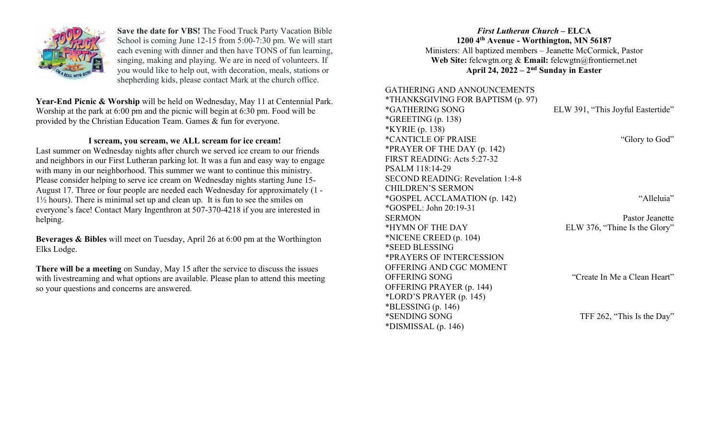

Save the date for VBS! The Food Truck Party Vacation Bible School is coming June 12-15 from 5:00-7:30 pm. We will start each evening with dinner and then have TONS of fun learning, singing, making and playing. We are in need of volunteers. If you would like to help out, with decoration, meals, stations or shepherding kids, please contact Mark at the church office.

Year-End Picnic & Worship will be held on Wednesday, May 11 at Centennial Park. Worship at the park at 6:00 pm and the picnic will begin at 6:30 pm. Food will be provided by the Christian Education Team. Games & fun for everyone.

### I scream, you scream, we ALL scream for ice cream!

Last summer on Wednesday nights after church we served ice cream to our friends and neighbors in our First Lutheran parking lot. It was a fun and easy way to engage with many in our neighborhood. This summer we want to continue this ministry. Please consider helping to serve ice cream on Wednesday nights starting June 15- August 17. Three or four people are needed each Wednesday for approximately (1 - 1½ hours). There is minimal set up and clean up. It is fun to see the smiles on everyone's face! Contact Mary Ingenthron at 507-370-4218 if you are interested in helping.

Beverages & Bibles will meet on Tuesday, April 26 at 6:00 pm at the Worthington Elks Lodge.

There will be a meeting on Sunday, May 15 after the service to discuss the issues with livestreaming and what options are available. Please plan to attend this meeting so your questions and concerns are answered.

# First Lutheran Church – ELCA 1200 4th Avenue - Worthington, MN 56187 Ministers: All baptized members – Jeanette McCormick, Pastor Web Site: felcwgtn.org & Email: felcwgtn@frontiernet.net April 24,  $2022 - 2<sup>nd</sup>$  Sunday in Easter

### GATHERING AND ANNOUNCEMENTS \*THANKSGIVING FOR BAPTISM (p. 97) \*GATHERING SONG ELW 391, "This Joyful Eastertide"  $*GREFING(p. 138)$ \*KYRIE (p. 138) \*CANTICLE OF PRAISE "Glory to God" \*PRAYER OF THE DAY (p. 142) FIRST READING: Acts 5:27-32 PSALM 118:14-29 SECOND READING: Revelation 1:4-8 CHILDREN'S SERMON \*GOSPEL ACCLAMATION (p. 142) "Alleluia" \*GOSPEL: John 20:19-31 SERMON Pastor Jeanette \*HYMN OF THE DAY ELW 376, "Thine Is the Glory" \*NICENE CREED (p. 104) \*SEED BLESSING \*PRAYERS OF INTERCESSION OFFERING AND CGC MOMENT OFFERING SONG "Create In Me a Clean Heart" OFFERING PRAYER (p. 144) \*LORD'S PRAYER (p. 145)  $*BLESSING (p. 146)$ \*SENDING SONG TFF 262, "This Is the Day" \*DISMISSAL (p. 146)